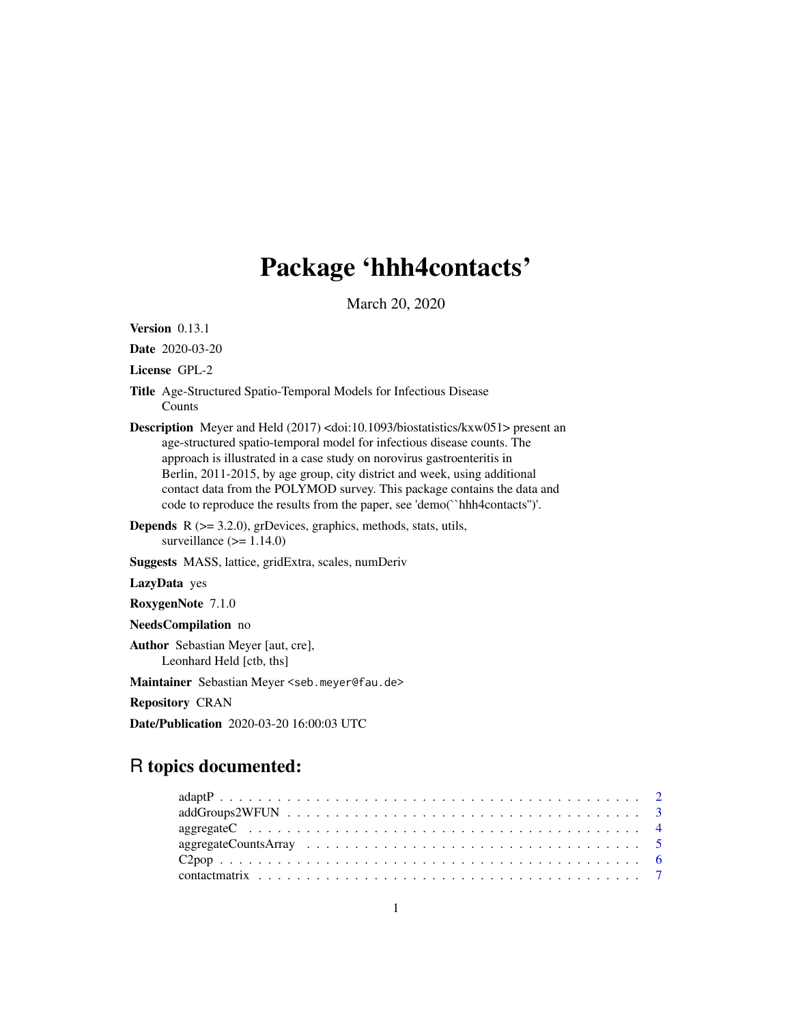# Package 'hhh4contacts'

March 20, 2020

<span id="page-0-0"></span>Version 0.13.1 Date 2020-03-20 License GPL-2 Title Age-Structured Spatio-Temporal Models for Infectious Disease Counts Description Meyer and Held (2017) <doi:10.1093/biostatistics/kxw051> present an age-structured spatio-temporal model for infectious disease counts. The approach is illustrated in a case study on norovirus gastroenteritis in Berlin, 2011-2015, by age group, city district and week, using additional contact data from the POLYMOD survey. This package contains the data and code to reproduce the results from the paper, see 'demo(``hhh4contacts'')'. **Depends**  $R$  ( $>= 3.2.0$ ), grDevices, graphics, methods, stats, utils, surveillance  $(>= 1.14.0)$ Suggests MASS, lattice, gridExtra, scales, numDeriv LazyData yes RoxygenNote 7.1.0 NeedsCompilation no Author Sebastian Meyer [aut, cre], Leonhard Held [ctb, ths] Maintainer Sebastian Meyer <seb.meyer@fau.de> Repository CRAN

Date/Publication 2020-03-20 16:00:03 UTC

# R topics documented: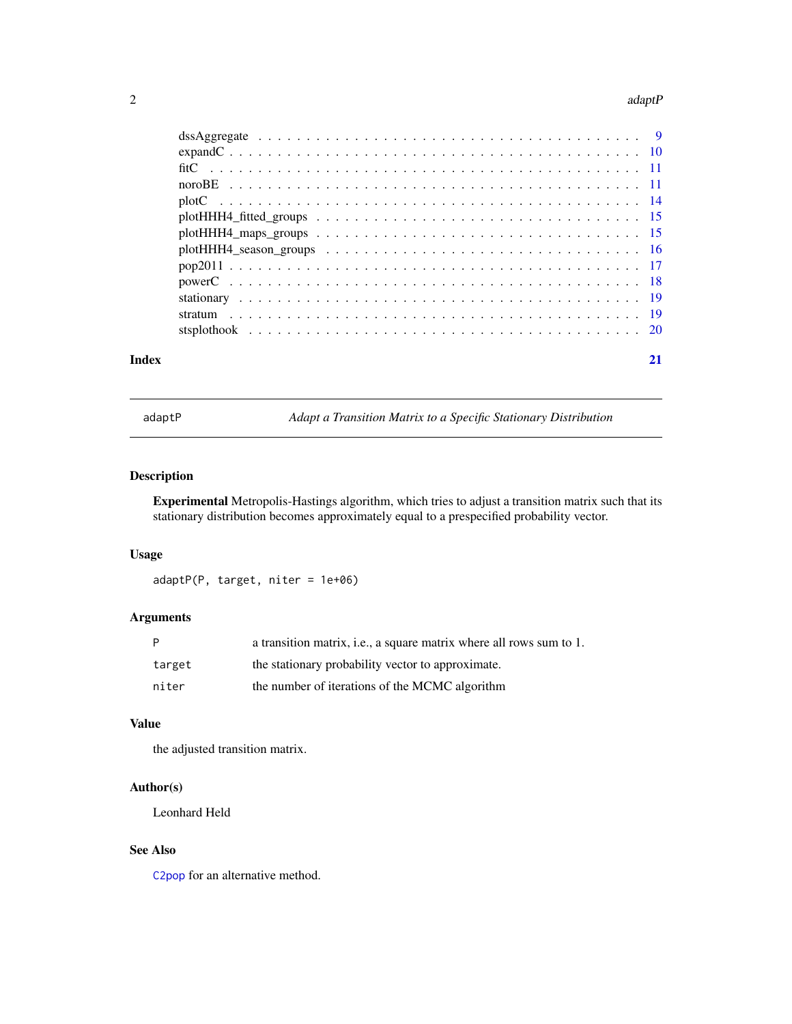#### <span id="page-1-0"></span>2 adaptP

| Index |  |
|-------|--|

<span id="page-1-1"></span>

adaptP *Adapt a Transition Matrix to a Specific Stationary Distribution*

# Description

Experimental Metropolis-Hastings algorithm, which tries to adjust a transition matrix such that its stationary distribution becomes approximately equal to a prespecified probability vector.

# Usage

adaptP(P, target, niter = 1e+06)

# Arguments

| P      | a transition matrix, i.e., a square matrix where all rows sum to 1. |
|--------|---------------------------------------------------------------------|
| target | the stationary probability vector to approximate.                   |
| niter  | the number of iterations of the MCMC algorithm                      |

# Value

the adjusted transition matrix.

# Author(s)

Leonhard Held

# See Also

[C2pop](#page-5-1) for an alternative method.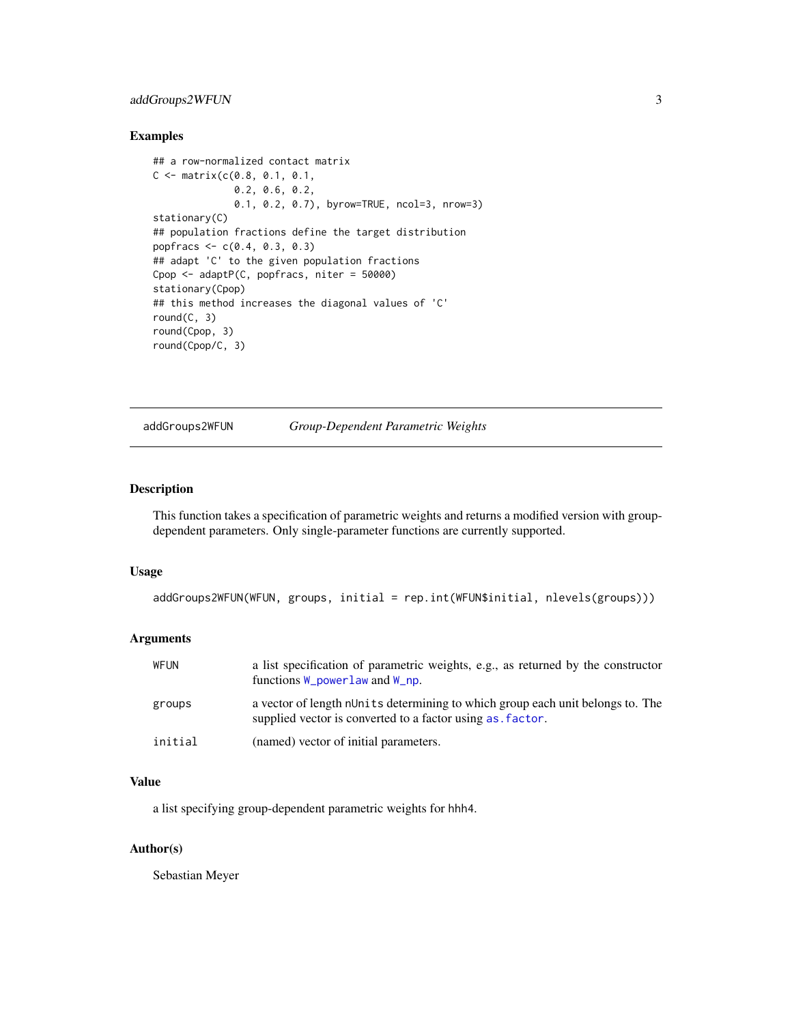# <span id="page-2-0"></span>addGroups2WFUN 3

# Examples

```
## a row-normalized contact matrix
C \leq - matrix(c(0.8, 0.1, 0.1, 0.1)0.2, 0.6, 0.2,
              0.1, 0.2, 0.7), byrow=TRUE, ncol=3, nrow=3)
stationary(C)
## population fractions define the target distribution
popfracs <- c(0.4, 0.3, 0.3)
## adapt 'C' to the given population fractions
Cpop <- adaptP(C, popfracs, niter = 50000)
stationary(Cpop)
## this method increases the diagonal values of 'C'
round(C, 3)
round(Cpop, 3)
round(Cpop/C, 3)
```
addGroups2WFUN *Group-Dependent Parametric Weights*

# Description

This function takes a specification of parametric weights and returns a modified version with groupdependent parameters. Only single-parameter functions are currently supported.

#### Usage

```
addGroups2WFUN(WFUN, groups, initial = rep.int(WFUN$initial, nlevels(groups)))
```
# Arguments

| WFUN    | a list specification of parametric weights, e.g., as returned by the constructor<br>functions $W_{\text{powerlaw}}$ and $W_{\text{np}}$ .   |
|---------|---------------------------------------------------------------------------------------------------------------------------------------------|
| groups  | a vector of length nUnits determining to which group each unit belongs to. The<br>supplied vector is converted to a factor using as factor. |
| initial | (named) vector of initial parameters.                                                                                                       |

# Value

a list specifying group-dependent parametric weights for hhh4.

#### Author(s)

Sebastian Meyer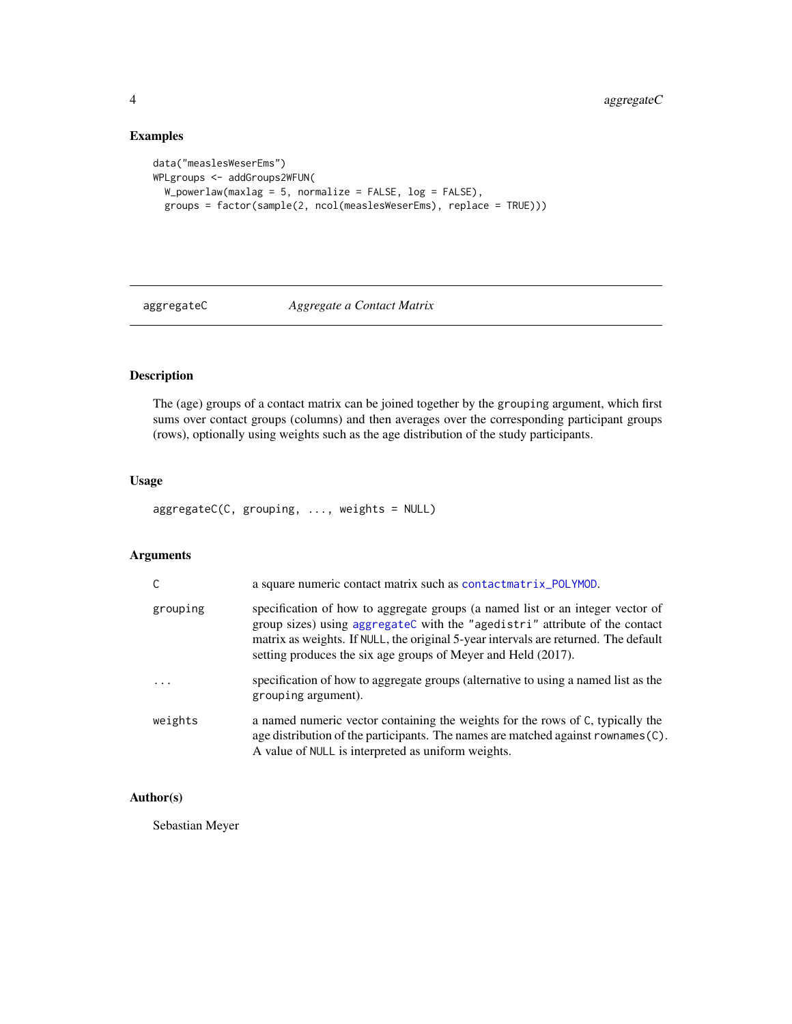# Examples

```
data("measlesWeserEms")
WPLgroups <- addGroups2WFUN(
  W_powerlaw(maxlag = 5, normalize = FALSE, log = FALSE),
  groups = factor(sample(2, ncol(measlesWeserEms), replace = TRUE)))
```
# <span id="page-3-1"></span>aggregateC *Aggregate a Contact Matrix*

# Description

The (age) groups of a contact matrix can be joined together by the grouping argument, which first sums over contact groups (columns) and then averages over the corresponding participant groups (rows), optionally using weights such as the age distribution of the study participants.

# Usage

aggregateC(C, grouping, ..., weights = NULL)

# Arguments

|          | a square numeric contact matrix such as contactmatrix_POLYMOD.                                                                                                                                                                                                                                                        |
|----------|-----------------------------------------------------------------------------------------------------------------------------------------------------------------------------------------------------------------------------------------------------------------------------------------------------------------------|
| grouping | specification of how to aggregate groups (a named list or an integer vector of<br>group sizes) using aggregateC with the "agedistri" attribute of the contact<br>matrix as weights. If NULL, the original 5-year intervals are returned. The default<br>setting produces the six age groups of Meyer and Held (2017). |
| .        | specification of how to aggregate groups (alternative to using a named list as the<br>grouping argument).                                                                                                                                                                                                             |
| weights  | a named numeric vector containing the weights for the rows of C, typically the<br>age distribution of the participants. The names are matched against rownames (C).<br>A value of NULL is interpreted as uniform weights.                                                                                             |

# Author(s)

Sebastian Meyer

<span id="page-3-0"></span>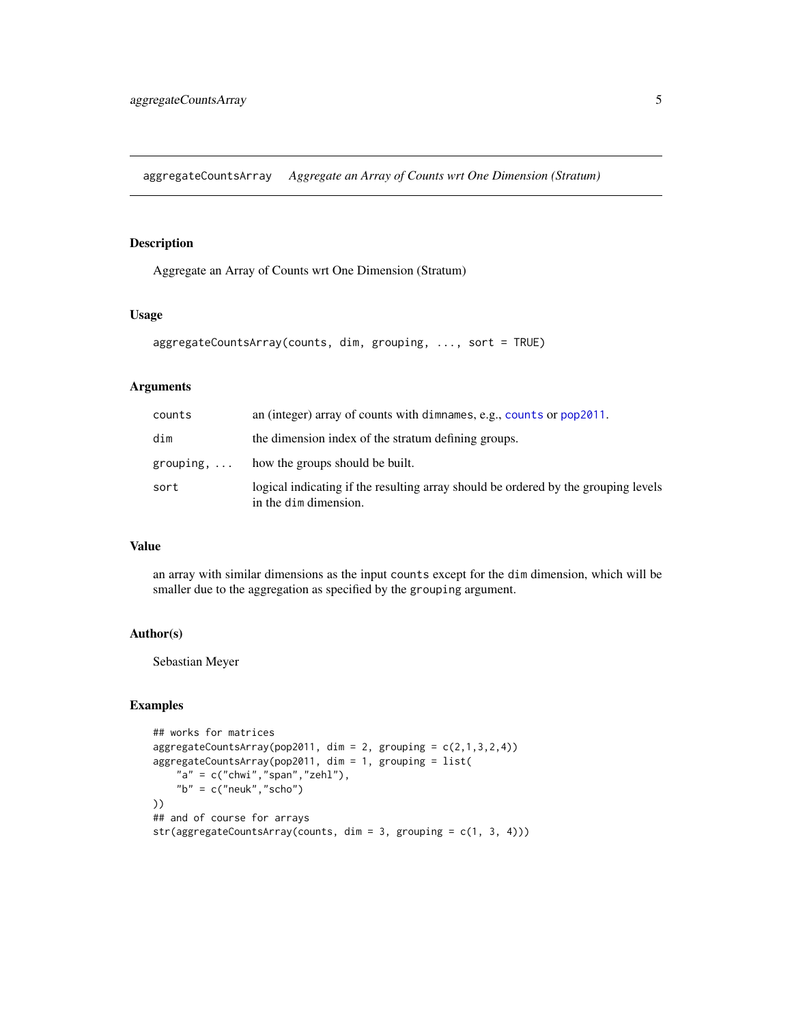<span id="page-4-1"></span><span id="page-4-0"></span>aggregateCountsArray *Aggregate an Array of Counts wrt One Dimension (Stratum)*

# Description

Aggregate an Array of Counts wrt One Dimension (Stratum)

# Usage

```
aggregateCountsArray(counts, dim, grouping, ..., sort = TRUE)
```
# Arguments

| counts             | an (integer) array of counts with dimnames, e.g., counts or $pop2011$ .                                     |
|--------------------|-------------------------------------------------------------------------------------------------------------|
| dim                | the dimension index of the stratum defining groups.                                                         |
| grouping, $\ldots$ | how the groups should be built.                                                                             |
| sort               | logical indicating if the resulting array should be ordered by the grouping levels<br>in the dim dimension. |

# Value

an array with similar dimensions as the input counts except for the dim dimension, which will be smaller due to the aggregation as specified by the grouping argument.

#### Author(s)

Sebastian Meyer

```
## works for matrices
aggregateCountsArray(pop2011, dim = 2, grouping = c(2,1,3,2,4))aggregateCountsArray(pop2011, dim = 1, grouping = list(
   "a" = c("chwi", "span", "zehl"),"b" = c("neuk", "scho")))
## and of course for arrays
str(aggregateCountsArray(counts, dim = 3, grouping = c(1, 3, 4)))
```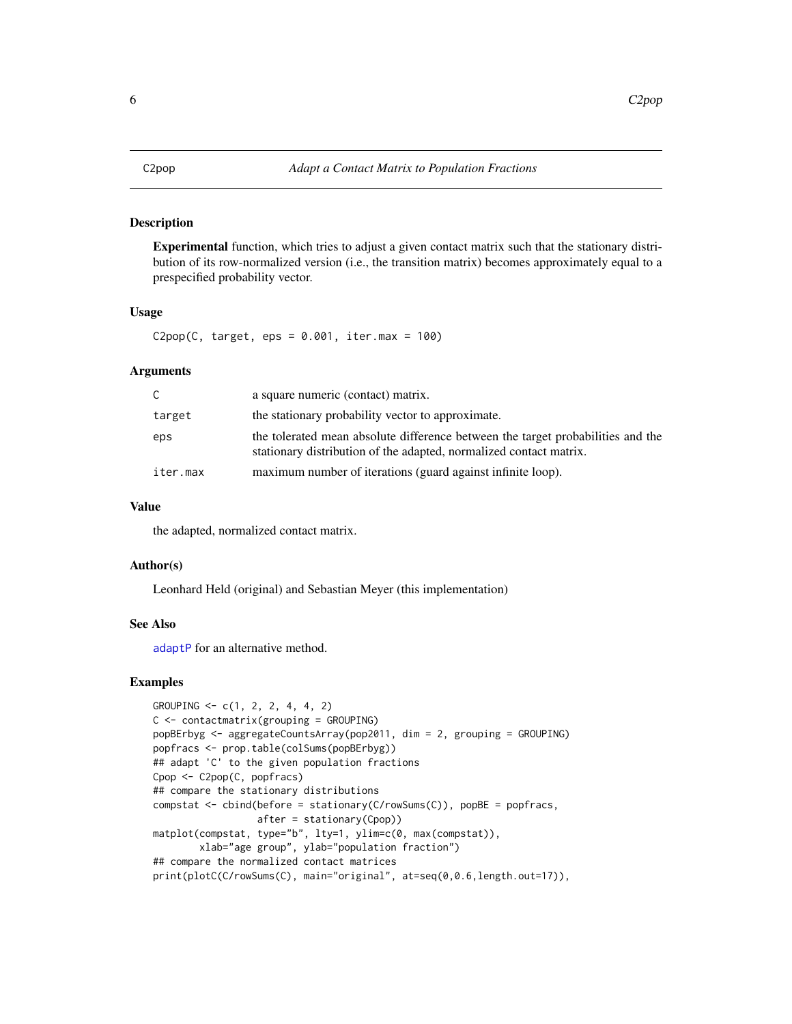<span id="page-5-1"></span><span id="page-5-0"></span>Experimental function, which tries to adjust a given contact matrix such that the stationary distribution of its row-normalized version (i.e., the transition matrix) becomes approximately equal to a prespecified probability vector.

# Usage

C2pop(C, target, eps =  $0.001$ , iter.max = 100)

#### Arguments

| C.       | a square numeric (contact) matrix.                                                                                                                    |
|----------|-------------------------------------------------------------------------------------------------------------------------------------------------------|
| target   | the stationary probability vector to approximate.                                                                                                     |
| eps      | the tolerated mean absolute difference between the target probabilities and the<br>stationary distribution of the adapted, normalized contact matrix. |
| iter.max | maximum number of iterations (guard against infinite loop).                                                                                           |

# Value

the adapted, normalized contact matrix.

#### Author(s)

Leonhard Held (original) and Sebastian Meyer (this implementation)

# See Also

[adaptP](#page-1-1) for an alternative method.

```
GROUPING \leq -c(1, 2, 2, 4, 4, 2)C <- contactmatrix(grouping = GROUPING)
popBErbyg <- aggregateCountsArray(pop2011, dim = 2, grouping = GROUPING)
popfracs <- prop.table(colSums(popBErbyg))
## adapt 'C' to the given population fractions
Cpop <- C2pop(C, popfracs)
## compare the stationary distributions
compstat <- cbind(before = stationary(C/rowSums(C)), popBE = popfracs,
                  after = stationary(Cpop))
matplot(compstat, type="b", lty=1, ylim=c(0, max(compstat)),
       xlab="age group", ylab="population fraction")
## compare the normalized contact matrices
print(plotC(C/rowSums(C), main="original", at=seq(0,0.6,length.out=17)),
```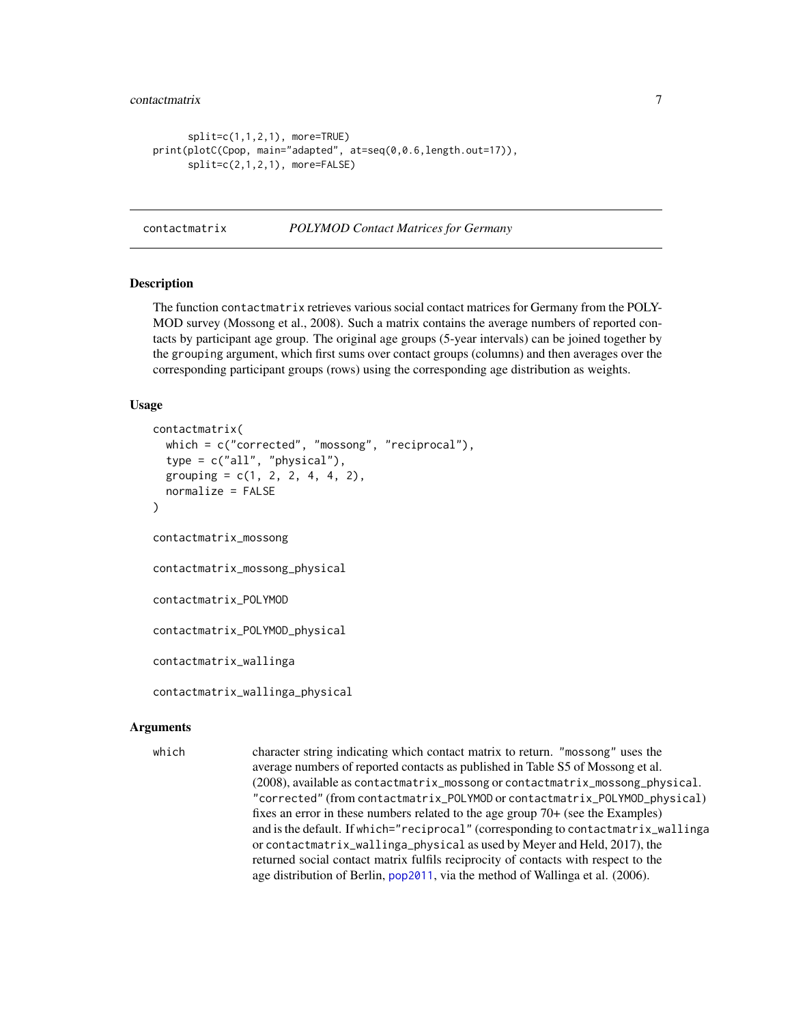```
split=c(1,1,2,1), more=TRUE)
print(plotC(Cpop, main="adapted", at=seq(0,0.6,length.out=17)),
      split=c(2,1,2,1), more=FALSE)
```
<span id="page-6-2"></span>contactmatrix *POLYMOD Contact Matrices for Germany*

#### <span id="page-6-1"></span>Description

The function contactmatrix retrieves various social contact matrices for Germany from the POLY-MOD survey (Mossong et al., 2008). Such a matrix contains the average numbers of reported contacts by participant age group. The original age groups (5-year intervals) can be joined together by the grouping argument, which first sums over contact groups (columns) and then averages over the corresponding participant groups (rows) using the corresponding age distribution as weights.

#### Usage

```
contactmatrix(
  which = c("corrected", "mossong", "reciprocal"),
  type = c("all", "physical"),
  grouping = c(1, 2, 2, 4, 4, 2),
  normalize = FALSE
)
contactmatrix_mossong
contactmatrix_mossong_physical
contactmatrix_POLYMOD
contactmatrix_POLYMOD_physical
contactmatrix_wallinga
contactmatrix_wallinga_physical
```
#### Arguments

which character string indicating which contact matrix to return. "mossong" uses the average numbers of reported contacts as published in Table S5 of Mossong et al. (2008), available as contactmatrix\_mossong or contactmatrix\_mossong\_physical. "corrected" (from contactmatrix\_POLYMOD or contactmatrix\_POLYMOD\_physical) fixes an error in these numbers related to the age group 70+ (see the Examples) and is the default. If which="reciprocal" (corresponding to contactmatrix\_wallinga or contactmatrix\_wallinga\_physical as used by Meyer and Held, 2017), the returned social contact matrix fulfils reciprocity of contacts with respect to the age distribution of Berlin, [pop2011](#page-16-1), via the method of Wallinga et al. (2006).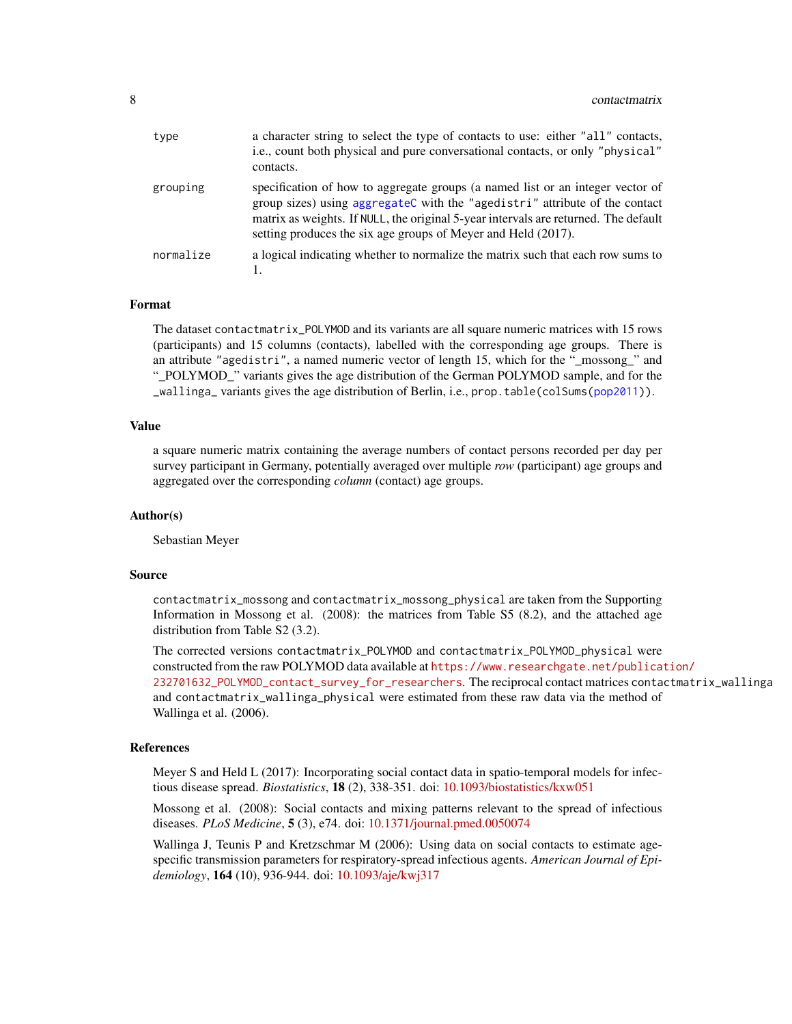<span id="page-7-0"></span>

| type      | a character string to select the type of contacts to use: either "all" contacts,<br>i.e., count both physical and pure conversational contacts, or only "physical"<br>contacts.                                                                                                                                       |
|-----------|-----------------------------------------------------------------------------------------------------------------------------------------------------------------------------------------------------------------------------------------------------------------------------------------------------------------------|
| grouping  | specification of how to aggregate groups (a named list or an integer vector of<br>group sizes) using aggregateC with the "agedistri" attribute of the contact<br>matrix as weights. If NULL, the original 5-year intervals are returned. The default<br>setting produces the six age groups of Meyer and Held (2017). |
| normalize | a logical indicating whether to normalize the matrix such that each row sums to                                                                                                                                                                                                                                       |

# Format

The dataset contactmatrix\_POLYMOD and its variants are all square numeric matrices with 15 rows (participants) and 15 columns (contacts), labelled with the corresponding age groups. There is an attribute "agedistri", a named numeric vector of length 15, which for the "\_mossong\_" and "\_POLYMOD\_" variants gives the age distribution of the German POLYMOD sample, and for the \_wallinga\_ variants gives the age distribution of Berlin, i.e., prop.table(colSums[\(pop2011\)](#page-16-1)).

#### Value

a square numeric matrix containing the average numbers of contact persons recorded per day per survey participant in Germany, potentially averaged over multiple *row* (participant) age groups and aggregated over the corresponding *column* (contact) age groups.

#### Author(s)

Sebastian Meyer

# Source

contactmatrix\_mossong and contactmatrix\_mossong\_physical are taken from the Supporting Information in Mossong et al. (2008): the matrices from Table S5 (8.2), and the attached age distribution from Table S2 (3.2).

The corrected versions contactmatrix\_POLYMOD and contactmatrix\_POLYMOD\_physical were constructed from the raw POLYMOD data available at [https://www.researchgate.net/publicat](https://www.researchgate.net/publication/232701632_POLYMOD_contact_survey_for_researchers)ion/ [232701632\\_POLYMOD\\_contact\\_survey\\_for\\_researchers](https://www.researchgate.net/publication/232701632_POLYMOD_contact_survey_for_researchers). The reciprocal contact matrices contactmatrix\_wallinga and contactmatrix\_wallinga\_physical were estimated from these raw data via the method of Wallinga et al. (2006).

#### References

Meyer S and Held L (2017): Incorporating social contact data in spatio-temporal models for infectious disease spread. *Biostatistics*, 18 (2), 338-351. doi: [10.1093/biostatistics/kxw051](https://doi.org/10.1093/biostatistics/kxw051)

Mossong et al. (2008): Social contacts and mixing patterns relevant to the spread of infectious diseases. *PLoS Medicine*, 5 (3), e74. doi: [10.1371/journal.pmed.0050074](https://doi.org/10.1371/journal.pmed.0050074)

Wallinga J, Teunis P and Kretzschmar M (2006): Using data on social contacts to estimate agespecific transmission parameters for respiratory-spread infectious agents. *American Journal of Epidemiology*, 164 (10), 936-944. doi: [10.1093/aje/kwj317](https://doi.org/10.1093/aje/kwj317)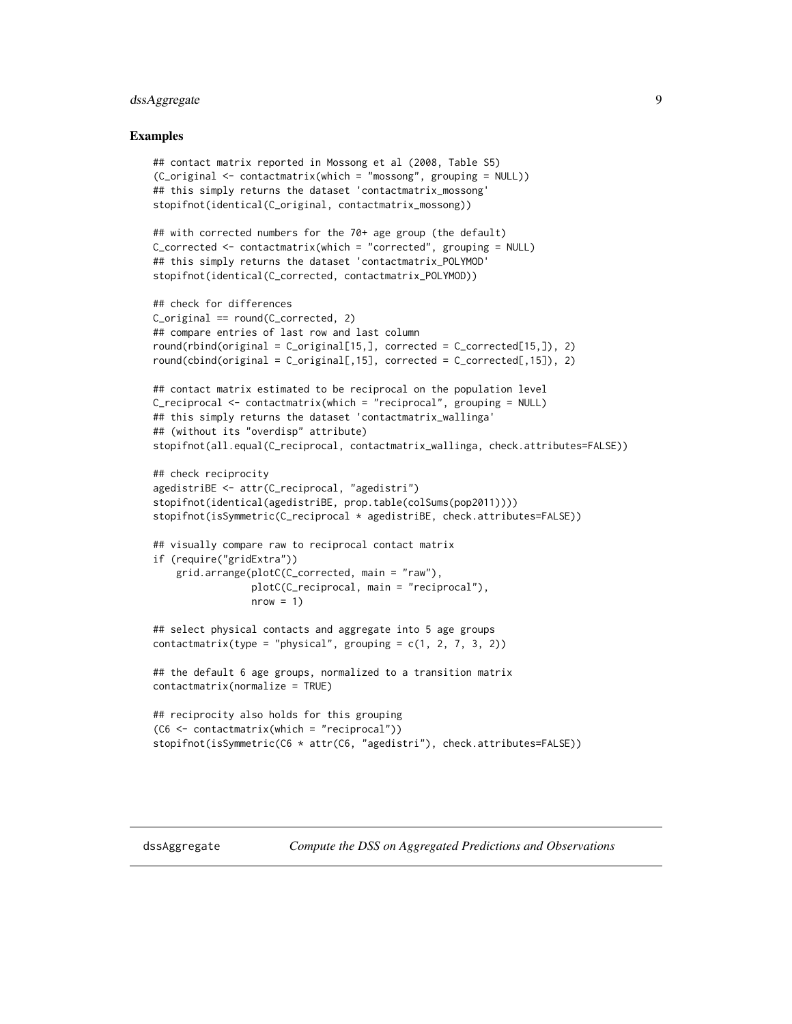# <span id="page-8-0"></span>dssAggregate 9

#### Examples

```
## contact matrix reported in Mossong et al (2008, Table S5)
(C_original <- contactmatrix(which = "mossong", grouping = NULL))
## this simply returns the dataset 'contactmatrix_mossong'
stopifnot(identical(C_original, contactmatrix_mossong))
```

```
## with corrected numbers for the 70+ age group (the default)
C_corrected <- contactmatrix(which = "corrected", grouping = NULL)
## this simply returns the dataset 'contactmatrix_POLYMOD'
stopifnot(identical(C_corrected, contactmatrix_POLYMOD))
```

```
## check for differences
C_{\text{original}} = \text{round}(C_{\text{corrected}}, 2)## compare entries of last row and last column
round(rbind(original = C_original[15,], corrected = C_corrected[15,]), 2)round(cbind(original = C_original[,15], corrected = C_corrected[,15]), 2)
## contact matrix estimated to be reciprocal on the population level
C_reciprocal <- contactmatrix(which = "reciprocal", grouping = NULL)
## this simply returns the dataset 'contactmatrix_wallinga'
## (without its "overdisp" attribute)
stopifnot(all.equal(C_reciprocal, contactmatrix_wallinga, check.attributes=FALSE))
## check reciprocity
agedistriBE <- attr(C_reciprocal, "agedistri")
stopifnot(identical(agedistriBE, prop.table(colSums(pop2011))))
stopifnot(isSymmetric(C_reciprocal * agedistriBE, check.attributes=FALSE))
## visually compare raw to reciprocal contact matrix
if (require("gridExtra"))
    grid.arrange(plotC(C_corrected, main = "raw"),
                 plotC(C_reciprocal, main = "reciprocal"),
                 nrow = 1## select physical contacts and aggregate into 5 age groups
```

```
## the default 6 age groups, normalized to a transition matrix
contactmatrix(normalize = TRUE)
```
contactmatrix(type = "physical", grouping =  $c(1, 2, 7, 3, 2)$ )

```
## reciprocity also holds for this grouping
(C6 <- contactmatrix(which = "reciprocal"))
stopifnot(isSymmetric(C6 * attr(C6, "agedistri"), check.attributes=FALSE))
```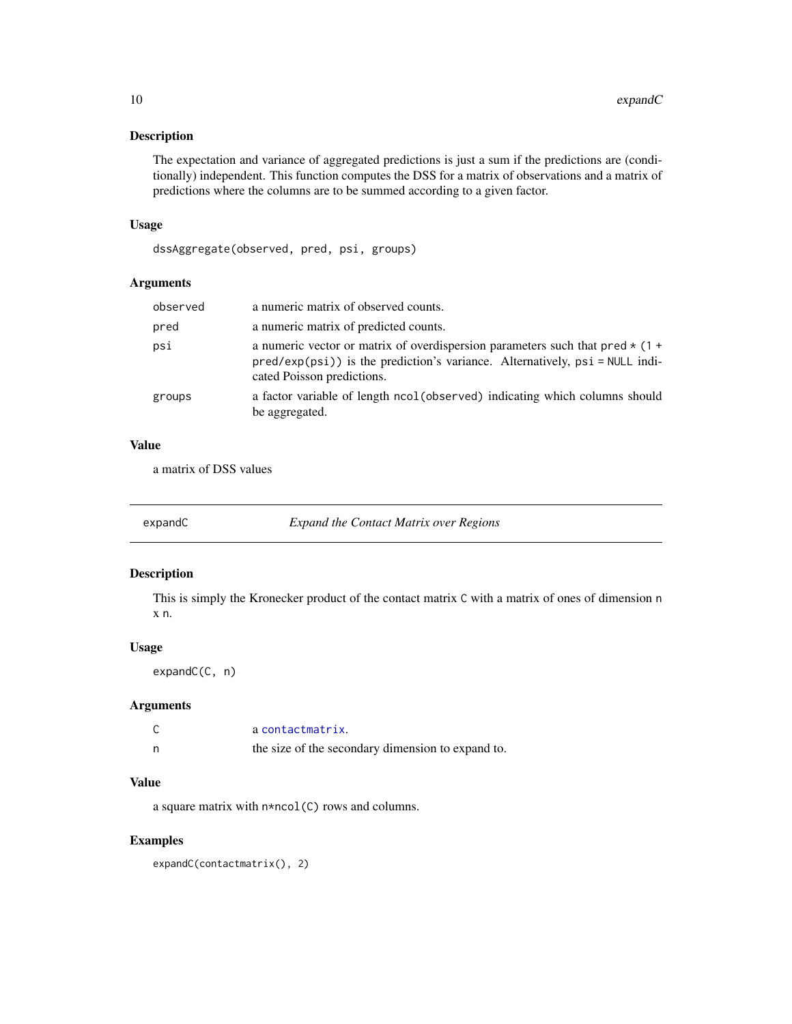<span id="page-9-0"></span>The expectation and variance of aggregated predictions is just a sum if the predictions are (conditionally) independent. This function computes the DSS for a matrix of observations and a matrix of predictions where the columns are to be summed according to a given factor.

#### Usage

dssAggregate(observed, pred, psi, groups)

### Arguments

| observed | a numeric matrix of observed counts.                                                                                                                                                              |
|----------|---------------------------------------------------------------------------------------------------------------------------------------------------------------------------------------------------|
| pred     | a numeric matrix of predicted counts.                                                                                                                                                             |
| psi      | a numeric vector or matrix of overdispersion parameters such that $pred * (1 +$<br>$pred(exp(psi))$ is the prediction's variance. Alternatively, $psi = NULL$ indi-<br>cated Poisson predictions. |
| groups   | a factor variable of length ncol (observed) indicating which columns should<br>be aggregated.                                                                                                     |

# Value

a matrix of DSS values

expandC *Expand the Contact Matrix over Regions*

#### Description

This is simply the Kronecker product of the contact matrix C with a matrix of ones of dimension n x n.

#### Usage

```
expandC(C, n)
```
# Arguments

| a contactmatrix.                                  |
|---------------------------------------------------|
| the size of the secondary dimension to expand to. |

## Value

a square matrix with n\*ncol(C) rows and columns.

# Examples

expandC(contactmatrix(), 2)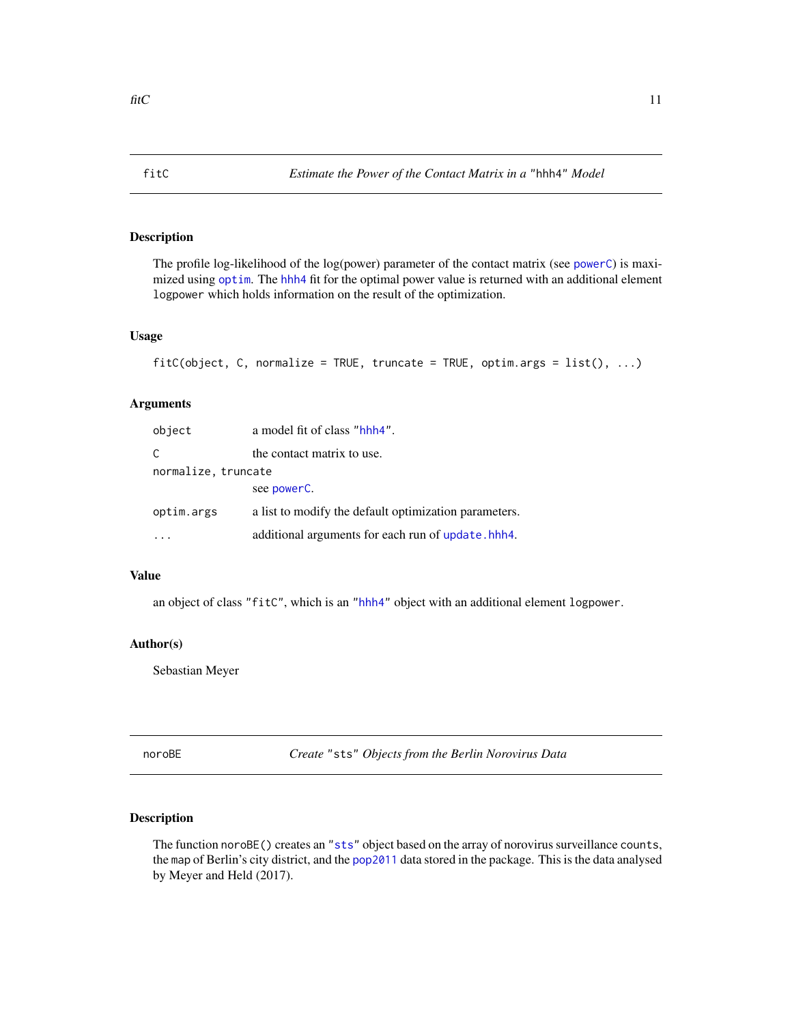<span id="page-10-0"></span>The profile log-likelihood of the log(power) parameter of the contact matrix (see [powerC](#page-17-1)) is maximized using [optim](#page-0-0). The [hhh4](#page-0-0) fit for the optimal power value is returned with an additional element logpower which holds information on the result of the optimization.

# Usage

```
fitC(object, C, normalize = TRUE, truncate = TRUE, optim.args = list(), ...)
```
# Arguments

| object              | a model fit of class "hhh4".                          |
|---------------------|-------------------------------------------------------|
| C                   | the contact matrix to use.                            |
| normalize, truncate |                                                       |
|                     | see powerC.                                           |
| optim.args          | a list to modify the default optimization parameters. |
|                     | additional arguments for each run of update.hhh4.     |

# Value

an object of class "fitC", which is an ["hhh4"](#page-0-0) object with an additional element logpower.

#### Author(s)

Sebastian Meyer

noroBE *Create* "sts" *Objects from the Berlin Norovirus Data*

# <span id="page-10-1"></span>Description

The function noroBE() creates an ["sts"](#page-0-0) object based on the array of norovirus surveillance counts, the map of Berlin's city district, and the [pop2011](#page-16-1) data stored in the package. This is the data analysed by Meyer and Held (2017).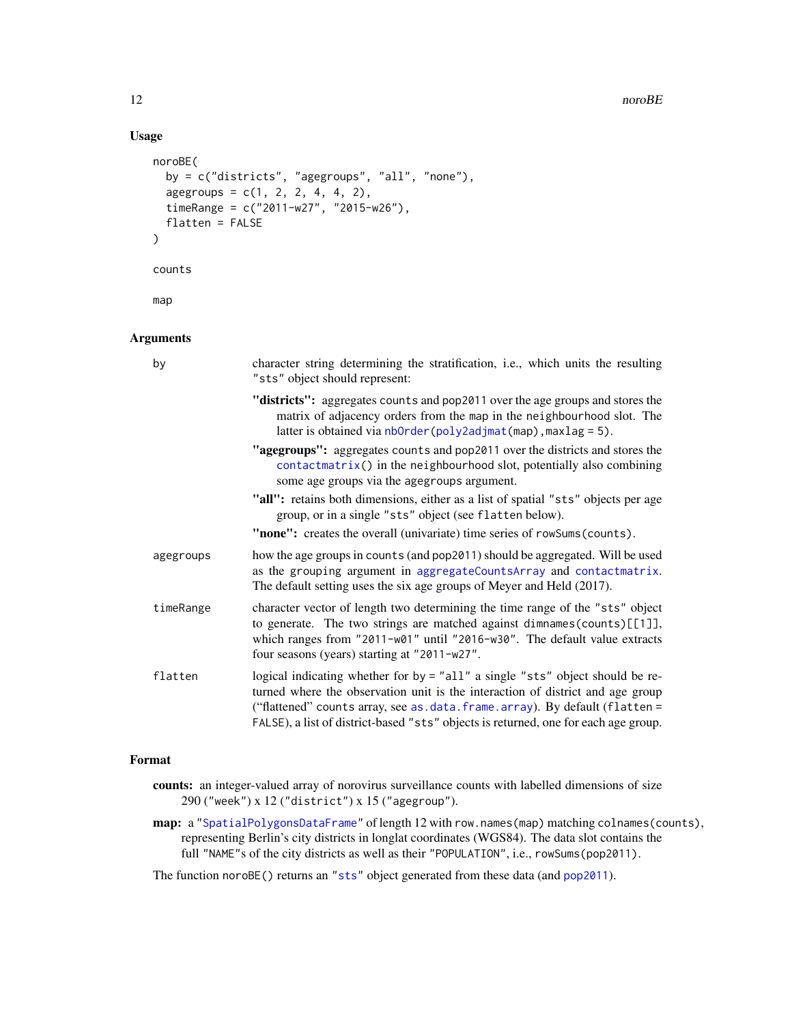#### 12 noroBE

# Usage

```
noroBE(
 by = c("districts", "agegroups", "all", "none"),
  agegroups = c(1, 2, 2, 4, 4, 2),
  timeRange = c("2011-w27", "2015-w26"),
  flatten = FALSE
\lambdacounts
```
map

# Arguments

| by        | character string determining the stratification, i.e., which units the resulting<br>"sts" object should represent:                                                                                                                                                                                                                   |
|-----------|--------------------------------------------------------------------------------------------------------------------------------------------------------------------------------------------------------------------------------------------------------------------------------------------------------------------------------------|
|           | "districts": aggregates counts and pop2011 over the age groups and stores the<br>matrix of adjacency orders from the map in the neighbourhood slot. The<br>latter is obtained via $nborder(poly2adjmat(map),maxlag = 5)$ .                                                                                                           |
|           | "agegroups": aggregates counts and pop2011 over the districts and stores the<br>$contactmatrix()$ in the neighbourhood slot, potentially also combining<br>some age groups via the agegroups argument.                                                                                                                               |
|           | "all": retains both dimensions, either as a list of spatial "sts" objects per age<br>group, or in a single "sts" object (see flatten below).                                                                                                                                                                                         |
|           | "none": creates the overall (univariate) time series of rowSums (counts).                                                                                                                                                                                                                                                            |
| agegroups | how the age groups in counts (and pop2011) should be aggregated. Will be used<br>as the grouping argument in aggregateCountsArray and contactmatrix.<br>The default setting uses the six age groups of Meyer and Held (2017).                                                                                                        |
| timeRange | character vector of length two determining the time range of the "sts" object<br>to generate. The two strings are matched against dimnames (counts) $[1]$ ],<br>which ranges from "2011-w01" until "2016-w30". The default value extracts<br>four seasons (years) starting at "2011-w27".                                            |
| flatten   | logical indicating whether for by = "all" a single "sts" object should be re-<br>turned where the observation unit is the interaction of district and age group<br>("flattened" counts array, see as.data.frame.array). By default (flatten =<br>FALSE), a list of district-based "sts" objects is returned, one for each age group. |

#### Format

- counts: an integer-valued array of norovirus surveillance counts with labelled dimensions of size 290 ("week") x 12 ("district") x 15 ("agegroup").
- map: a ["SpatialPolygonsDataFrame"](#page-0-0) of length 12 with row.names(map) matching colnames(counts), representing Berlin's city districts in longlat coordinates (WGS84). The data slot contains the full "NAME"s of the city districts as well as their "POPULATION", i.e., rowSums(pop2011).

The function noroBE() returns an ["sts"](#page-0-0) object generated from these data (and [pop2011](#page-16-1)).

<span id="page-11-0"></span>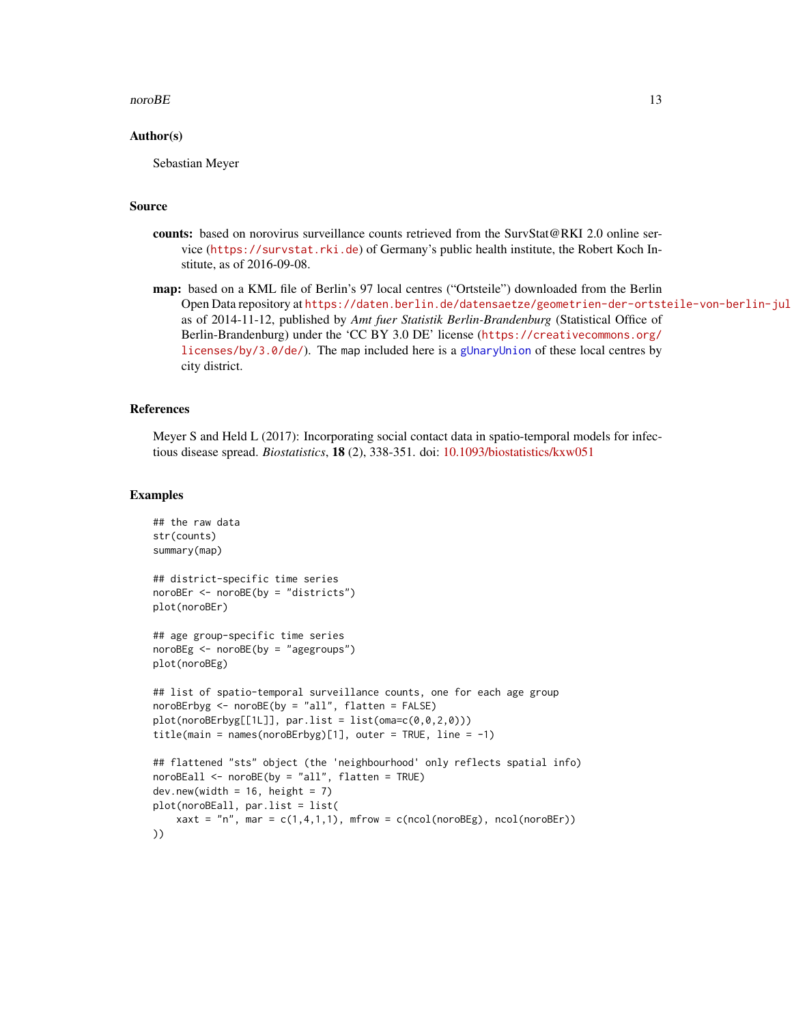#### <span id="page-12-0"></span> $\Box$  13

#### Author(s)

Sebastian Meyer

#### Source

- counts: based on norovirus surveillance counts retrieved from the SurvStat@RKI 2.0 online service (<https://survstat.rki.de>) of Germany's public health institute, the Robert Koch Institute, as of 2016-09-08.
- map: based on a KML file of Berlin's 97 local centres ("Ortsteile") downloaded from the Berlin Open Data repository at https://daten.berlin.de/datensaetze/geometrien-der-ortsteile-von-berlin-jul as of 2014-11-12, published by *Amt fuer Statistik Berlin-Brandenburg* (Statistical Office of Berlin-Brandenburg) under the 'CC BY 3.0 DE' license ([https://creativecommons.org/](https://creativecommons.org/licenses/by/3.0/de/) [licenses/by/3.0/de/](https://creativecommons.org/licenses/by/3.0/de/)). The map included here is a [gUnaryUnion](#page-0-0) of these local centres by city district.

#### References

Meyer S and Held L (2017): Incorporating social contact data in spatio-temporal models for infectious disease spread. *Biostatistics*, 18 (2), 338-351. doi: [10.1093/biostatistics/kxw051](https://doi.org/10.1093/biostatistics/kxw051)

```
## the raw data
str(counts)
summary(map)
## district-specific time series
noroBEr <- noroBE(by = "districts")
plot(noroBEr)
## age group-specific time series
noroBEg <- noroBE(by = "agegroups")
plot(noroBEg)
## list of spatio-temporal surveillance counts, one for each age group
noroBErbyg <- noroBE(by = "all", flatten = FALSE)
plot(noroBErbyg[[1L]], par.list = list(oma=c(0,0,2,0)))title(main = names(noroBErbyg)[1], outer = TRUE, line = -1)## flattened "sts" object (the 'neighbourhood' only reflects spatial info)
noroBEall <- noroBE(by = "all", flatten = TRUE)
dev.new(width = 16, height = 7)plot(noroBEall, par.list = list(
    xaxt = "n", mar = c(1,4,1,1), mfrow = c(ncol(nor0Eg)), ncol(noroBEr))
))
```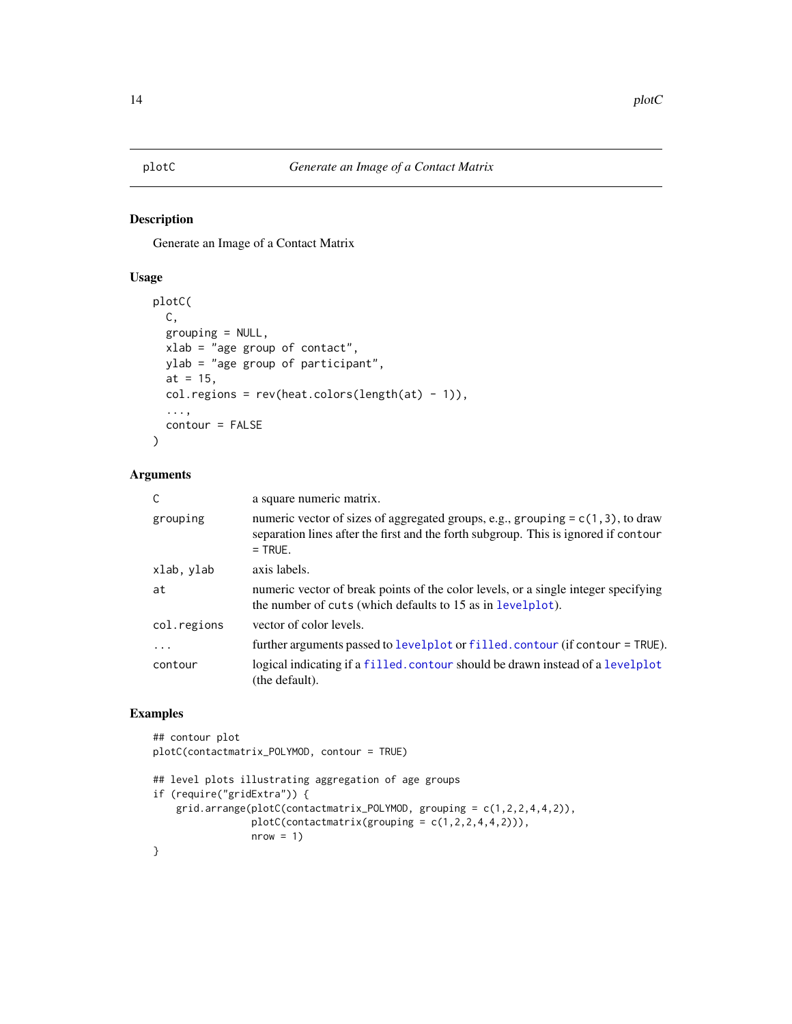<span id="page-13-0"></span>Generate an Image of a Contact Matrix

# Usage

```
plotC(
 C,
 grouping = NULL,
 xlab = "age group of contact",
 ylab = "age group of participant",
  at = 15,
  col.regions = rev(heat.colors(length(at) - 1)),
  ...,
  contour = FALSE
)
```
# Arguments

| C           | a square numeric matrix.                                                                                                                                                               |  |
|-------------|----------------------------------------------------------------------------------------------------------------------------------------------------------------------------------------|--|
| grouping    | numeric vector of sizes of aggregated groups, e.g., grouping = $c(1, 3)$ , to draw<br>separation lines after the first and the forth subgroup. This is ignored if contour<br>$=$ TRUE. |  |
| xlab, ylab  | axis labels.                                                                                                                                                                           |  |
| at          | numeric vector of break points of the color levels, or a single integer specifying<br>the number of cuts (which defaults to 15 as in levelplot).                                       |  |
| col.regions | vector of color levels.                                                                                                                                                                |  |
| $\ddots$    | further arguments passed to levelplot or filled. contour (if contour = TRUE).                                                                                                          |  |
| contour     | logical indicating if a filled, contour should be drawn instead of a levelplot<br>(the default).                                                                                       |  |

```
## contour plot
plotC(contactmatrix_POLYMOD, contour = TRUE)
```

```
## level plots illustrating aggregation of age groups
if (require("gridExtra")) {
   grid.arrange(plotC(contactmatrix_POLYMOD, grouping = c(1,2,2,4,4,2)),
                plotC(contactmatrix(grouping = c(1,2,2,4,4,2))),
                nrow = 1}
```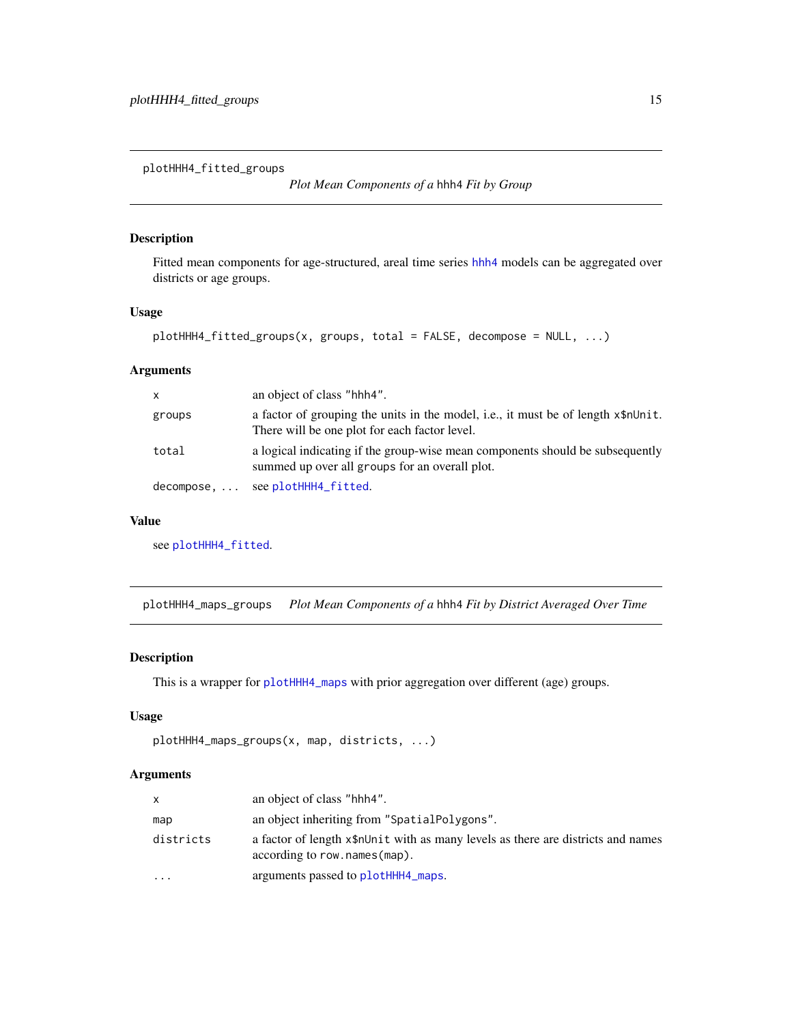<span id="page-14-0"></span>plotHHH4\_fitted\_groups

*Plot Mean Components of a* hhh4 *Fit by Group*

# Description

Fitted mean components for age-structured, areal time series [hhh4](#page-0-0) models can be aggregated over districts or age groups.

# Usage

```
plotHHH4_fitted_groups(x, groups, total = FALSE, decompose = NULL, ...)
```
# Arguments

| X          | an object of class "hhh4".                                                                                                         |
|------------|------------------------------------------------------------------------------------------------------------------------------------|
| groups     | a factor of grouping the units in the model, i.e., it must be of length x\$nUnit.<br>There will be one plot for each factor level. |
| total      | a logical indicating if the group-wise mean components should be subsequently<br>summed up over all groups for an overall plot.    |
| decompose, | see plotHHH4_fitted.                                                                                                               |

# Value

see [plotHHH4\\_fitted](#page-0-0).

plotHHH4\_maps\_groups *Plot Mean Components of a* hhh4 *Fit by District Averaged Over Time*

# Description

This is a wrapper for [plotHHH4\\_maps](#page-0-0) with prior aggregation over different (age) groups.

#### Usage

```
plotHHH4_maps_groups(x, map, districts, ...)
```
# Arguments

| $\mathsf{x}$ | an object of class "hhh4".                                                                                       |
|--------------|------------------------------------------------------------------------------------------------------------------|
| map          | an object inheriting from "SpatialPolygons".                                                                     |
| districts    | a factor of length x\$nUnit with as many levels as there are districts and names<br>according to row.names(map). |
| .            | arguments passed to plotHHH4_maps.                                                                               |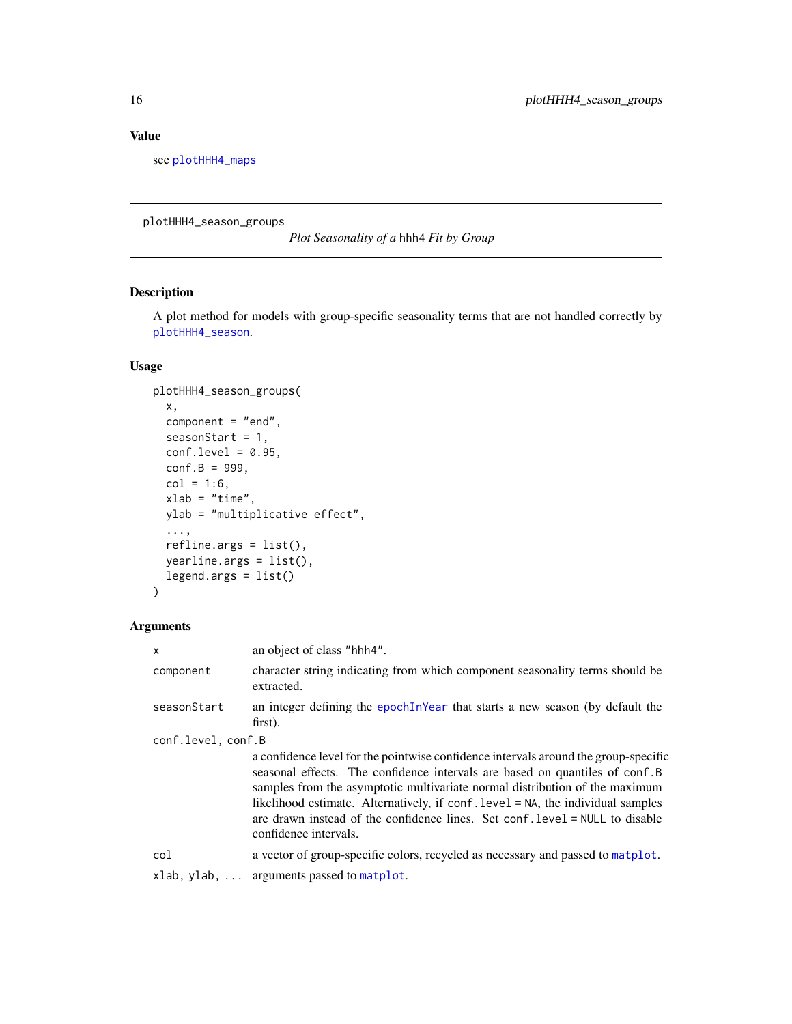# <span id="page-15-0"></span>Value

see [plotHHH4\\_maps](#page-0-0)

plotHHH4\_season\_groups

*Plot Seasonality of a* hhh4 *Fit by Group*

# Description

A plot method for models with group-specific seasonality terms that are not handled correctly by [plotHHH4\\_season](#page-0-0).

# Usage

```
plotHHH4_season_groups(
  x,
  component = "end",
  seasonStart = 1,
  conf. level = 0.95,conf.B = 999,col = 1:6,
  xlab = "time",
 ylab = "multiplicative effect",
  ...,
  refline.orgs = list(),yearline.args = list(),
  legend.args = list()
\mathcal{L}
```
# Arguments

| $\mathsf{x}$       | an object of class "hhh4".                                                                                                                                                                                                                                                                                                                                                                                                                    |
|--------------------|-----------------------------------------------------------------------------------------------------------------------------------------------------------------------------------------------------------------------------------------------------------------------------------------------------------------------------------------------------------------------------------------------------------------------------------------------|
| component          | character string indicating from which component seasonality terms should be<br>extracted.                                                                                                                                                                                                                                                                                                                                                    |
| seasonStart        | an integer defining the epoch In Year that starts a new season (by default the<br>first).                                                                                                                                                                                                                                                                                                                                                     |
| conf.level, conf.B |                                                                                                                                                                                                                                                                                                                                                                                                                                               |
|                    | a confidence level for the pointwise confidence intervals around the group-specific<br>seasonal effects. The confidence intervals are based on quantiles of conf.B<br>samples from the asymptotic multivariate normal distribution of the maximum<br>likelihood estimate. Alternatively, if conf. level = NA, the individual samples<br>are drawn instead of the confidence lines. Set conf. level = NULL to disable<br>confidence intervals. |
| col                | a vector of group-specific colors, recycled as necessary and passed to matplot.                                                                                                                                                                                                                                                                                                                                                               |
|                    | $x$ lab, $y$ lab,  arguments passed to matplot.                                                                                                                                                                                                                                                                                                                                                                                               |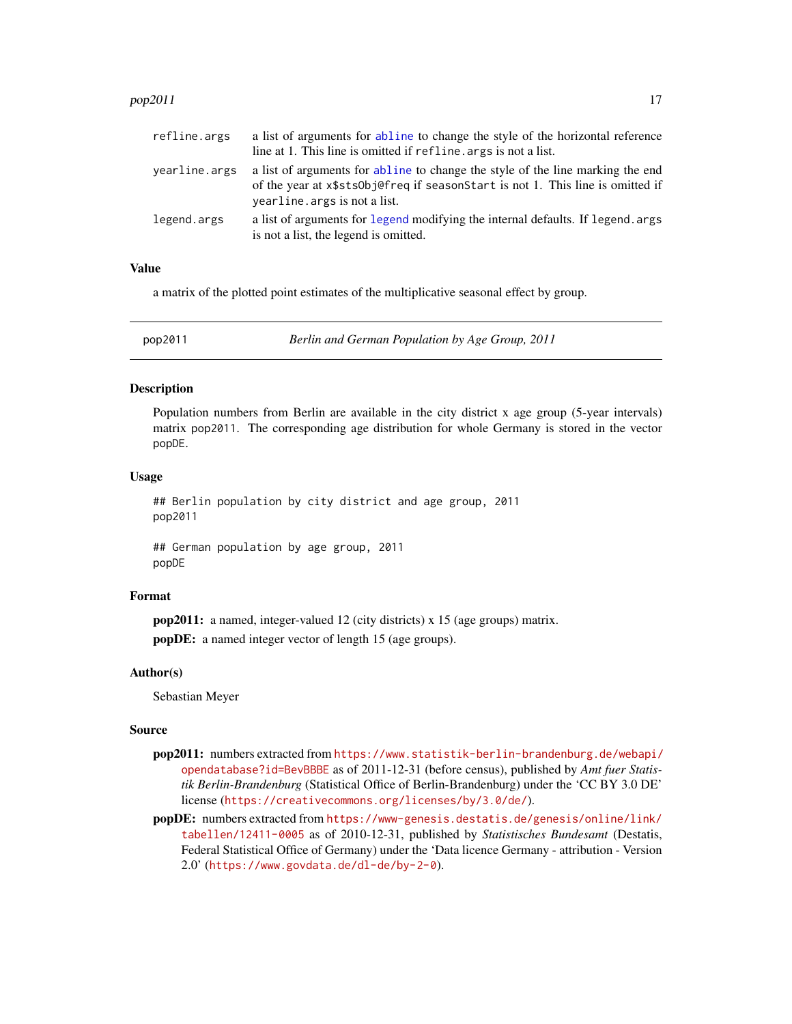#### <span id="page-16-0"></span> $pop2011$  17

| refline.args  | a list of arguments for abline to change the style of the horizontal reference                                                                                                                     |
|---------------|----------------------------------------------------------------------------------------------------------------------------------------------------------------------------------------------------|
|               | line at 1. This line is omitted if refline, args is not a list.                                                                                                                                    |
| yearline.args | a list of arguments for abline to change the style of the line marking the end<br>of the year at x\$sts0b effreq if seasonStart is not 1. This line is omitted if<br>yearline. args is not a list. |
| legend.args   | a list of arguments for legend modifying the internal defaults. If legend. args<br>is not a list, the legend is omitted.                                                                           |

#### Value

a matrix of the plotted point estimates of the multiplicative seasonal effect by group.

<span id="page-16-1"></span>

pop2011 *Berlin and German Population by Age Group, 2011*

### **Description**

Population numbers from Berlin are available in the city district x age group (5-year intervals) matrix pop2011. The corresponding age distribution for whole Germany is stored in the vector popDE.

#### Usage

```
## Berlin population by city district and age group, 2011
pop2011
```
## German population by age group, 2011 popDE

# Format

pop2011: a named, integer-valued 12 (city districts) x 15 (age groups) matrix. popDE: a named integer vector of length 15 (age groups).

#### Author(s)

Sebastian Meyer

#### Source

- pop2011: numbers extracted from [https://www.statistik-berlin-brandenburg.de/webapi/](https://www.statistik-berlin-brandenburg.de/webapi/opendatabase?id=BevBBBE) [opendatabase?id=BevBBBE](https://www.statistik-berlin-brandenburg.de/webapi/opendatabase?id=BevBBBE) as of 2011-12-31 (before census), published by *Amt fuer Statistik Berlin-Brandenburg* (Statistical Office of Berlin-Brandenburg) under the 'CC BY 3.0 DE' license (<https://creativecommons.org/licenses/by/3.0/de/>).
- popDE: numbers extracted from [https://www-genesis.destatis.de/genesis/online/link/](https://www-genesis.destatis.de/genesis/online/link/tabellen/12411-0005) [tabellen/12411-0005](https://www-genesis.destatis.de/genesis/online/link/tabellen/12411-0005) as of 2010-12-31, published by *Statistisches Bundesamt* (Destatis, Federal Statistical Office of Germany) under the 'Data licence Germany - attribution - Version 2.0' (<https://www.govdata.de/dl-de/by-2-0>).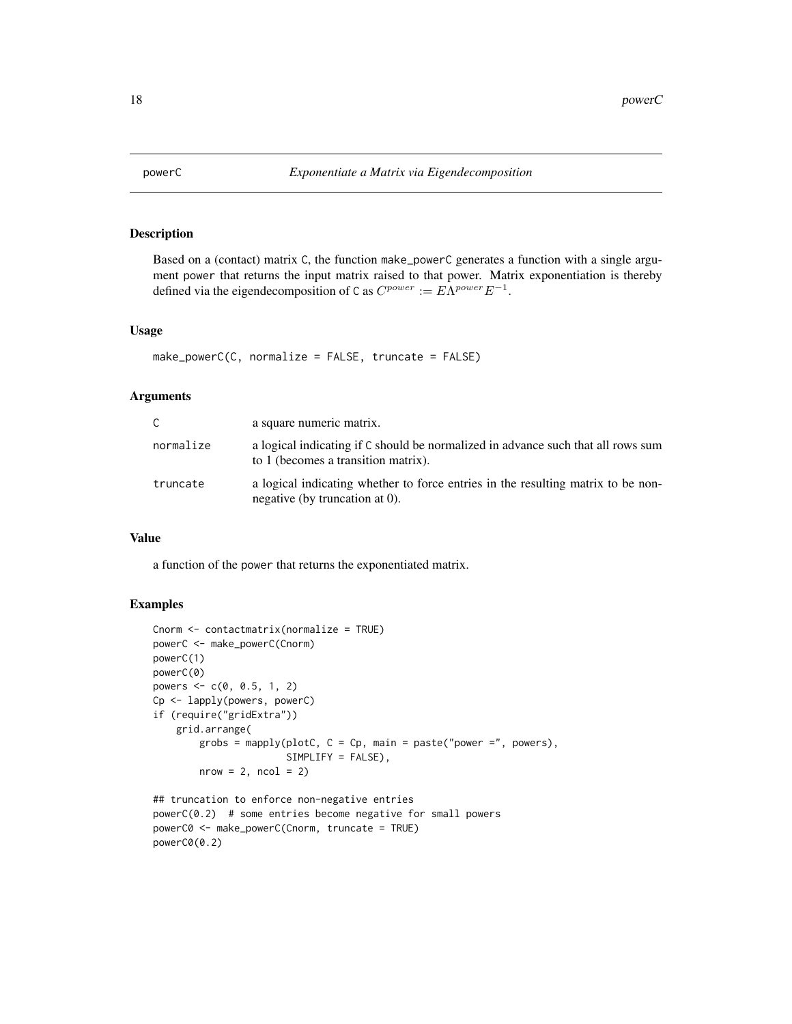<span id="page-17-1"></span><span id="page-17-0"></span>

Based on a (contact) matrix C, the function make\_powerC generates a function with a single argument power that returns the input matrix raised to that power. Matrix exponentiation is thereby defined via the eigendecomposition of C as  $C^{power} := E\Lambda^{power} E^{-1}$ .

#### Usage

make\_powerC(C, normalize = FALSE, truncate = FALSE)

#### Arguments

| C         | a square numeric matrix.                                                                                                |
|-----------|-------------------------------------------------------------------------------------------------------------------------|
| normalize | a logical indicating if C should be normalized in advance such that all rows sum<br>to 1 (becomes a transition matrix). |
| truncate  | a logical indicating whether to force entries in the resulting matrix to be non-<br>negative (by truncation at 0).      |

### Value

a function of the power that returns the exponentiated matrix.

```
Cnorm <- contactmatrix(normalize = TRUE)
powerC <- make_powerC(Cnorm)
powerC(1)
powerC(0)
powers <-c(0, 0.5, 1, 2)Cp <- lapply(powers, powerC)
if (require("gridExtra"))
    grid.arrange(
        grobs = mapply(plotC, C = Cp, main = paste("power =", powers),
                       SIMPLIFY = FALSE),
        nrow = 2, ncol = 2
```

```
## truncation to enforce non-negative entries
powerC(0.2) # some entries become negative for small powers
powerC0 <- make_powerC(Cnorm, truncate = TRUE)
powerC0(0.2)
```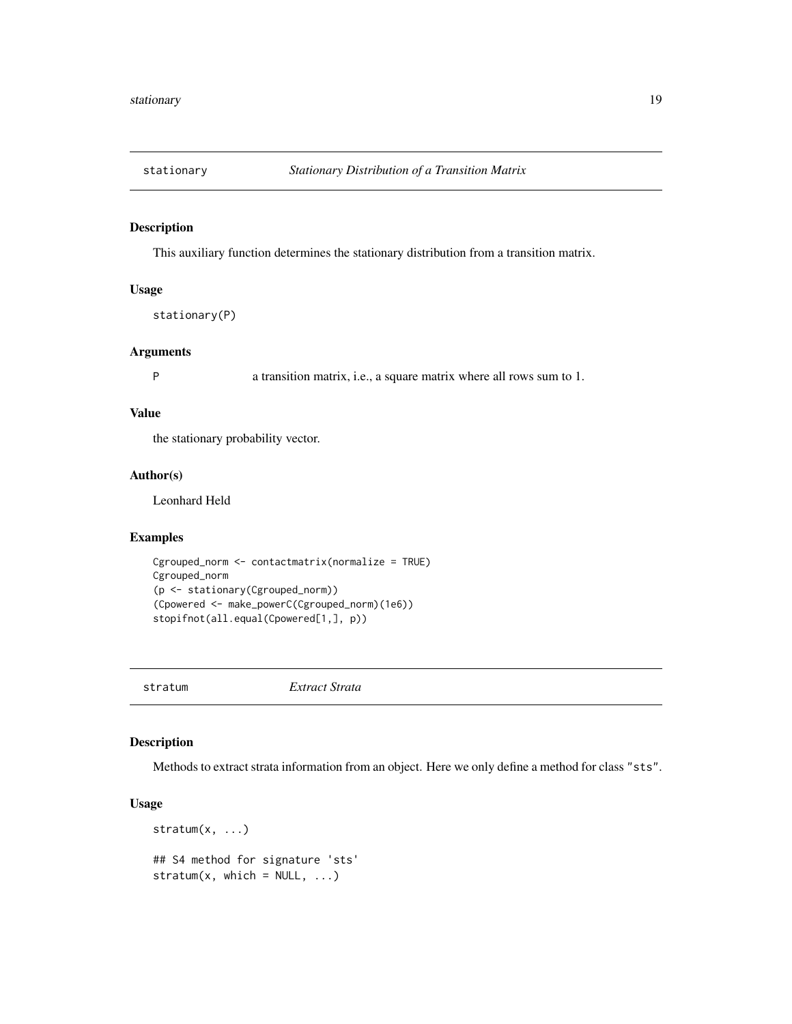<span id="page-18-0"></span>

This auxiliary function determines the stationary distribution from a transition matrix.

# Usage

```
stationary(P)
```
#### Arguments

P a transition matrix, i.e., a square matrix where all rows sum to 1.

#### Value

the stationary probability vector.

# Author(s)

Leonhard Held

# Examples

```
Cgrouped_norm <- contactmatrix(normalize = TRUE)
Cgrouped_norm
(p <- stationary(Cgrouped_norm))
(Cpowered <- make_powerC(Cgrouped_norm)(1e6))
stopifnot(all.equal(Cpowered[1,], p))
```
stratum *Extract Strata*

#### Description

Methods to extract strata information from an object. Here we only define a method for class "sts".

# Usage

```
stratum(x, \ldots)## S4 method for signature 'sts'
stratum(x, \text{ which} = \text{NULL}, \dots)
```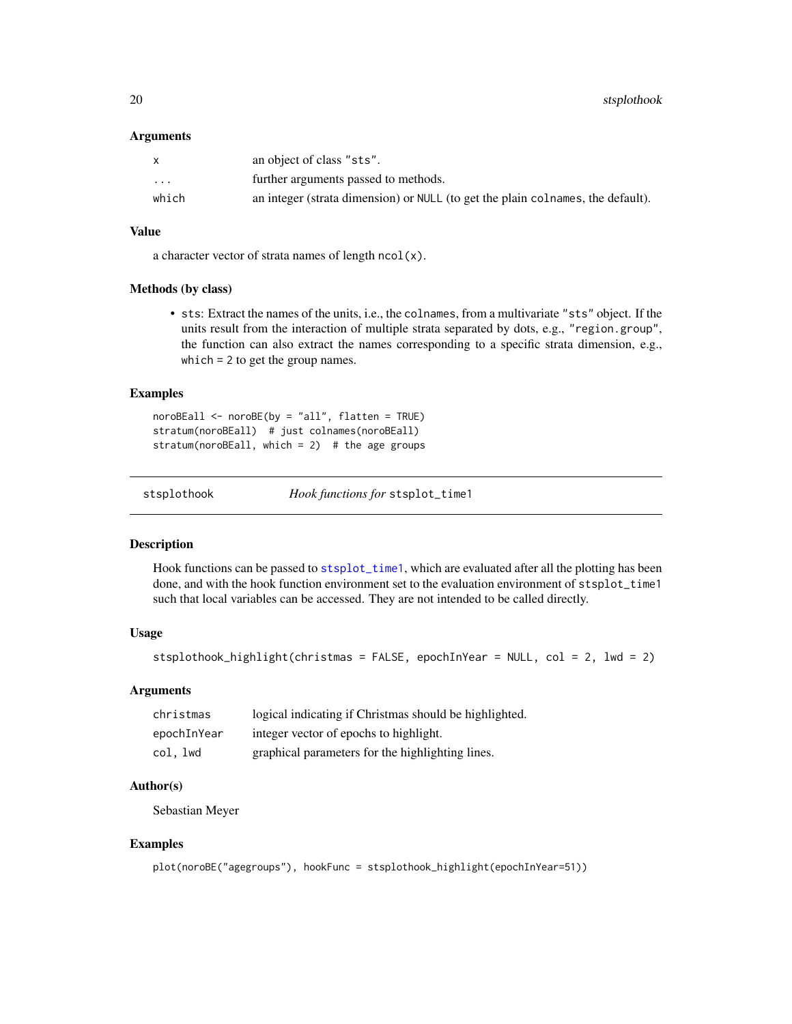#### <span id="page-19-0"></span>**Arguments**

|                         | an object of class "sts".                                                       |
|-------------------------|---------------------------------------------------------------------------------|
| $\cdot$ $\cdot$ $\cdot$ | further arguments passed to methods.                                            |
| which                   | an integer (strata dimension) or NULL (to get the plain colnames, the default). |

#### Value

a character vector of strata names of length  $ncol(x)$ .

#### Methods (by class)

• sts: Extract the names of the units, i.e., the colnames, from a multivariate "sts" object. If the units result from the interaction of multiple strata separated by dots, e.g., "region.group", the function can also extract the names corresponding to a specific strata dimension, e.g., which = 2 to get the group names.

# Examples

noroBEall <- noroBE(by = "all", flatten = TRUE) stratum(noroBEall) # just colnames(noroBEall) stratum(noroBEall, which = 2) # the age groups

stsplothook *Hook functions for* stsplot\_time1

#### Description

Hook functions can be passed to [stsplot\\_time1](#page-0-0), which are evaluated after all the plotting has been done, and with the hook function environment set to the evaluation environment of stsplot\_time1 such that local variables can be accessed. They are not intended to be called directly.

# Usage

```
stsplothook_highlight(christmas = FALSE, epochInYear = NULL, col = 2, lwd = 2)
```
# Arguments

| christmas   | logical indicating if Christmas should be highlighted. |
|-------------|--------------------------------------------------------|
| epochInYear | integer vector of epochs to highlight.                 |
| col, lwd    | graphical parameters for the highlighting lines.       |

#### Author(s)

Sebastian Meyer

```
plot(noroBE("agegroups"), hookFunc = stsplothook_highlight(epochInYear=51))
```